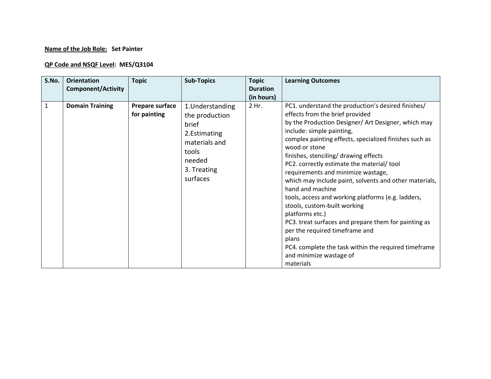## **Name of the Job Role: Set Painter**

## **QP Code and NSQF Level: MES/Q3104**

| S.No.        | <b>Orientation</b><br><b>Component/Activity</b> | <b>Topic</b>                    | <b>Sub-Topics</b>                                                                                                           | <b>Topic</b><br><b>Duration</b><br>(in hours) | <b>Learning Outcomes</b>                                                                                                                                                                                                                                                                                                                                                                                                                                                                                                                                                                                                                                                                                                                                                   |
|--------------|-------------------------------------------------|---------------------------------|-----------------------------------------------------------------------------------------------------------------------------|-----------------------------------------------|----------------------------------------------------------------------------------------------------------------------------------------------------------------------------------------------------------------------------------------------------------------------------------------------------------------------------------------------------------------------------------------------------------------------------------------------------------------------------------------------------------------------------------------------------------------------------------------------------------------------------------------------------------------------------------------------------------------------------------------------------------------------------|
| $\mathbf{1}$ | <b>Domain Training</b>                          | Prepare surface<br>for painting | 1. Understanding<br>the production<br>brief<br>2. Estimating<br>materials and<br>tools<br>needed<br>3. Treating<br>surfaces | 2 Hr.                                         | PC1. understand the production's desired finishes/<br>effects from the brief provided<br>by the Production Designer/ Art Designer, which may<br>include: simple painting,<br>complex painting effects, specialized finishes such as<br>wood or stone<br>finishes, stenciling/ drawing effects<br>PC2. correctly estimate the material/tool<br>requirements and minimize wastage,<br>which may include paint, solvents and other materials,<br>hand and machine<br>tools, access and working platforms (e.g. ladders,<br>stools, custom-built working<br>platforms etc.)<br>PC3. treat surfaces and prepare them for painting as<br>per the required timeframe and<br>plans<br>PC4. complete the task within the required timeframe<br>and minimize wastage of<br>materials |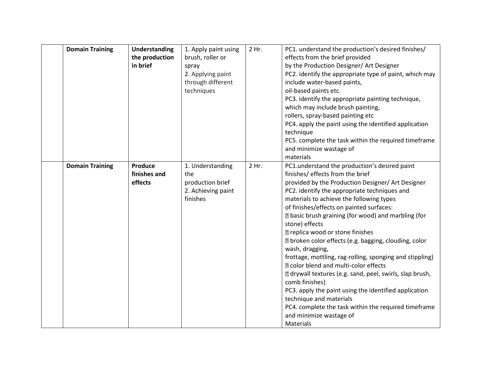| <b>Domain Training</b> | <b>Understanding</b><br>the production<br>in brief | 1. Apply paint using<br>brush, roller or<br>spray<br>2. Applying paint<br>through different<br>techniques | 2 Hr. | PC1. understand the production's desired finishes/<br>effects from the brief provided<br>by the Production Designer/ Art Designer<br>PC2. identify the appropriate type of paint, which may<br>include water-based paints,<br>oil-based paints etc.<br>PC3. identify the appropriate painting technique,<br>which may include brush painting,<br>rollers, spray-based painting etc<br>PC4. apply the paint using the identified application<br>technique<br>PC5. complete the task within the required timeframe<br>and minimize wastage of<br>materials                                                                                                                                                                                                                                                                                                            |
|------------------------|----------------------------------------------------|-----------------------------------------------------------------------------------------------------------|-------|---------------------------------------------------------------------------------------------------------------------------------------------------------------------------------------------------------------------------------------------------------------------------------------------------------------------------------------------------------------------------------------------------------------------------------------------------------------------------------------------------------------------------------------------------------------------------------------------------------------------------------------------------------------------------------------------------------------------------------------------------------------------------------------------------------------------------------------------------------------------|
| <b>Domain Training</b> | Produce<br>finishes and<br>effects                 | 1. Understanding<br>the<br>production brief<br>2. Achieving paint<br>finishes                             | 2 Hr. | PC1.understand the production's desired paint<br>finishes/ effects from the brief<br>provided by the Production Designer/ Art Designer<br>PC2. identify the appropriate techniques and<br>materials to achieve the following types<br>of finishes/effects on painted surfaces:<br><b>Z</b> basic brush graining (for wood) and marbling (for<br>stone) effects<br><b>R</b> replica wood or stone finishes<br>I broken color effects (e.g. bagging, clouding, color<br>wash, dragging,<br>frottage, mottling, rag-rolling, sponging and stippling)<br><b>Z</b> color blend and multi-color effects<br>I drywall textures (e.g. sand, peel, swirls, slap brush,<br>comb finishes)<br>PC3. apply the paint using the identified application<br>technique and materials<br>PC4. complete the task within the required timeframe<br>and minimize wastage of<br>Materials |